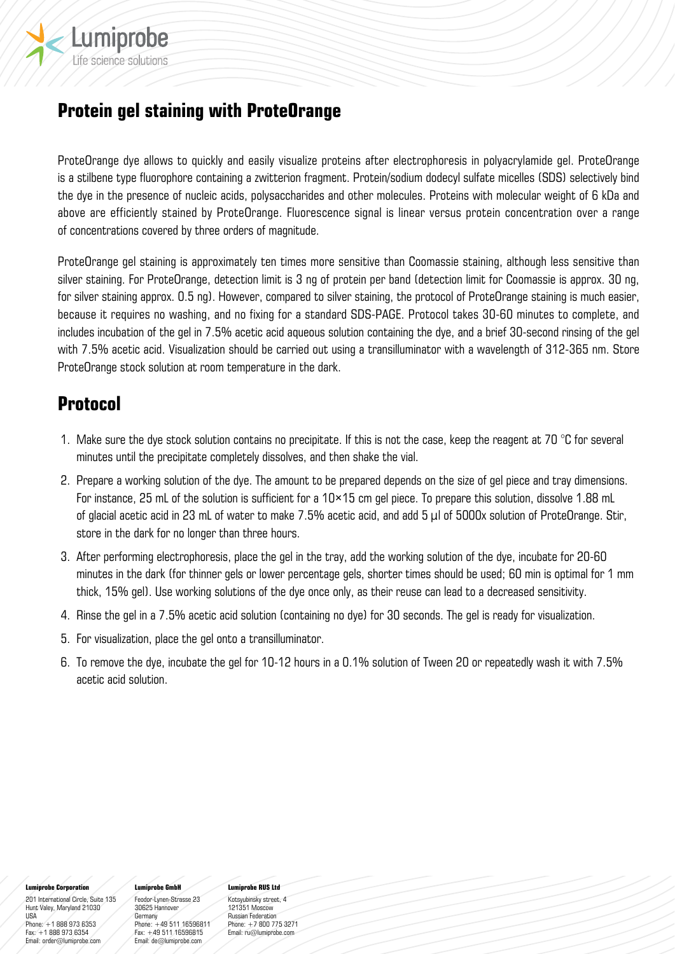

# **Protein gel staining with ProteOrange**

ProteOrange dye allows to quickly and easily visualize proteins after electrophoresis in polyacrylamide gel. ProteOrange is a stilbene type fluorophore containing a zwitterion fragment. Protein/sodium dodecyl sulfate micelles (SDS) selectively bind the dye in the presence of nucleic acids, polysaccharides and other molecules. Proteins with molecular weight of 6 kDa and above are efficiently stained by ProteOrange. Fluorescence signal is linear versus protein concentration over a range of concentrations covered by three orders of magnitude.

ProteOrange gel staining is approximately ten times more sensitive than Coomassie staining, although less sensitive than silver staining. For ProteOrange, detection limit is 3 ng of protein per band (detection limit for Coomassie is approx. 30 ng, for silver staining approx. 0.5 ng). However, compared to silver staining, the protocol of ProteOrange staining is much easier, because it requires no washing, and no fixing for a standard SDS-PAGE. Protocol takes 30-60 minutes to complete, and includes incubation of the gel in 7.5% acetic acid aqueous solution containing the dye, and a brief 30-second rinsing of the gel with 7.5% acetic acid. Visualization should be carried out using a transilluminator with a wavelength of 312-365 nm. Store ProteOrange stock solution at room temperature in the dark.

# **Protocol**

- 1. Make sure the dye stock solution contains no precipitate. If this is not the case, keep the reagent at 70  $^{\circ}$ C for several minutes until the precipitate completely dissolves, and then shake the vial.
- 2. Prepare a working solution of the dye. The amount to be prepared depends on the size of gel piece and tray dimensions. For instance, 25 mL of the solution is sufficient for a 10×15 cm gel piece. To prepare this solution, dissolve 1.88 mL of glacial acetic acid in 23 mL of water to make 7.5% acetic acid, and add 5 μl of 5000x solution of ProteOrange. Stir, store in the dark for no longer than three hours.
- 3. After performing electrophoresis, place the gel in the tray, add the working solution of the dye, incubate for 20-60 minutes in the dark (for thinner gels or lower percentage gels, shorter times should be used; 60 min is optimal for 1 mm thick, 15% gel). Use working solutions of the dye once only, as their reuse can lead to a decreased sensitivity.
- 4. Rinse the gel in a 7.5% acetic acid solution (containing no dye) for 30 seconds. The gel is ready for visualization.
- 5. For visualization, place the gel onto a transilluminator.
- 6. To remove the dye, incubate the gel for 10-12 hours in a 0.1% solution of Tween 20 or repeatedly wash it with 7.5% acetic acid solution.

#### **Lumiprobe Corporation**

201 International Circle, Suite 135 Hunt Valey, Maryland 21030 USA Phone: +1 888 973 6353 Fax: +1 888 973 6354 Email: order@lumiprobe.com

#### **Lumiprobe GmbH**

Feodor-Lynen-Strasse 23 30625 Hannover Germany Phone: +49 511 16596811 Fax: +49 511 16596815 Email: de@lumiprobe.com

## **Lumiprobe RUS Ltd**

Kotsyubinsky street, 4 121351 Moscow Russian Federation Phone: +7 800 775 3271 Email: ru@lumiprobe.com